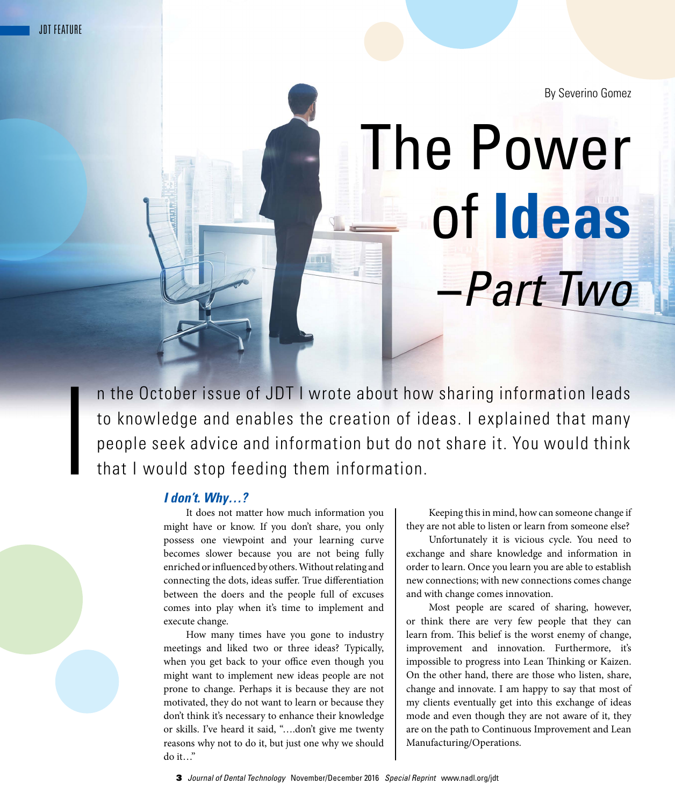I

By Severino Gomez

## The Power of **Ideas –***Part Two*

n the October issue of JDT I wrote about how sharing information leads to knowledge and enables the creation of ideas. I explained that many people seek advice and information but do not share it. You would think that I would stop feeding them information.

## *I don't. Why…?*

It does not matter how much information you might have or know. If you don't share, you only possess one viewpoint and your learning curve becomes slower because you are not being fully enriched or influenced by others. Without relating and connecting the dots, ideas suffer. True differentiation between the doers and the people full of excuses comes into play when it's time to implement and execute change.

How many times have you gone to industry meetings and liked two or three ideas? Typically, when you get back to your office even though you might want to implement new ideas people are not prone to change. Perhaps it is because they are not motivated, they do not want to learn or because they don't think it's necessary to enhance their knowledge or skills. I've heard it said, "….don't give me twenty reasons why not to do it, but just one why we should do it…"

Keeping this in mind, how can someone change if they are not able to listen or learn from someone else?

Unfortunately it is vicious cycle. You need to exchange and share knowledge and information in order to learn. Once you learn you are able to establish new connections; with new connections comes change and with change comes innovation.

Most people are scared of sharing, however, or think there are very few people that they can learn from. This belief is the worst enemy of change, improvement and innovation. Furthermore, it's impossible to progress into Lean Thinking or Kaizen. On the other hand, there are those who listen, share, change and innovate. I am happy to say that most of my clients eventually get into this exchange of ideas mode and even though they are not aware of it, they are on the path to Continuous Improvement and Lean Manufacturing/Operations.